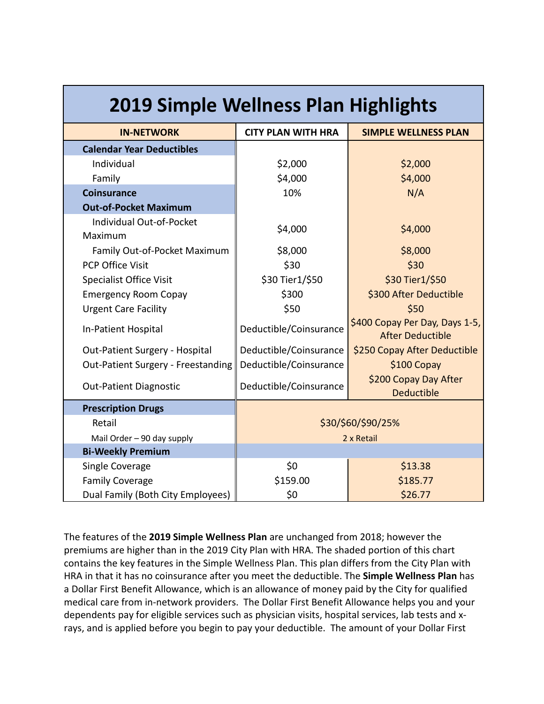| <b>2019 Simple Wellness Plan Highlights</b> |                                                                                     |                                            |  |  |  |
|---------------------------------------------|-------------------------------------------------------------------------------------|--------------------------------------------|--|--|--|
| <b>IN-NETWORK</b>                           | <b>CITY PLAN WITH HRA</b>                                                           | <b>SIMPLE WELLNESS PLAN</b>                |  |  |  |
| <b>Calendar Year Deductibles</b>            |                                                                                     |                                            |  |  |  |
| Individual                                  | \$2,000<br>\$2,000                                                                  |                                            |  |  |  |
| Family                                      | \$4,000<br>\$4,000                                                                  |                                            |  |  |  |
| <b>Coinsurance</b>                          | 10%<br>N/A                                                                          |                                            |  |  |  |
| <b>Out-of-Pocket Maximum</b>                |                                                                                     |                                            |  |  |  |
| Individual Out-of-Pocket<br>Maximum         | \$4,000                                                                             | \$4,000                                    |  |  |  |
| Family Out-of-Pocket Maximum                | \$8,000                                                                             | \$8,000                                    |  |  |  |
| <b>PCP Office Visit</b>                     | \$30                                                                                | \$30                                       |  |  |  |
| <b>Specialist Office Visit</b>              | \$30 Tier1/\$50                                                                     | \$30 Tier1/\$50                            |  |  |  |
| <b>Emergency Room Copay</b>                 | \$300<br>\$300 After Deductible                                                     |                                            |  |  |  |
| <b>Urgent Care Facility</b>                 | \$50<br>\$50                                                                        |                                            |  |  |  |
| In-Patient Hospital                         | \$400 Copay Per Day, Days 1-5,<br>Deductible/Coinsurance<br><b>After Deductible</b> |                                            |  |  |  |
| Out-Patient Surgery - Hospital              | Deductible/Coinsurance<br>\$250 Copay After Deductible                              |                                            |  |  |  |
| Out-Patient Surgery - Freestanding          | Deductible/Coinsurance<br>\$100 Copay                                               |                                            |  |  |  |
| <b>Out-Patient Diagnostic</b>               | Deductible/Coinsurance                                                              | \$200 Copay Day After<br><b>Deductible</b> |  |  |  |
| <b>Prescription Drugs</b>                   |                                                                                     |                                            |  |  |  |
| Retail                                      | \$30/\$60/\$90/25%                                                                  |                                            |  |  |  |
| Mail Order - 90 day supply                  | 2 x Retail                                                                          |                                            |  |  |  |
| <b>Bi-Weekly Premium</b>                    |                                                                                     |                                            |  |  |  |
| Single Coverage                             | \$0                                                                                 | \$13.38                                    |  |  |  |
| <b>Family Coverage</b>                      | \$159.00                                                                            | \$185.77                                   |  |  |  |
| Dual Family (Both City Employees)           | \$0                                                                                 | \$26.77                                    |  |  |  |

The features of the **2019 Simple Wellness Plan** are unchanged from 2018; however the premiums are higher than in the 2019 City Plan with HRA. The shaded portion of this chart contains the key features in the Simple Wellness Plan. This plan differs from the City Plan with HRA in that it has no coinsurance after you meet the deductible. The **Simple Wellness Plan** has a Dollar First Benefit Allowance, which is an allowance of money paid by the City for qualified medical care from in-network providers. The Dollar First Benefit Allowance helps you and your dependents pay for eligible services such as physician visits, hospital services, lab tests and xrays, and is applied before you begin to pay your deductible. The amount of your Dollar First